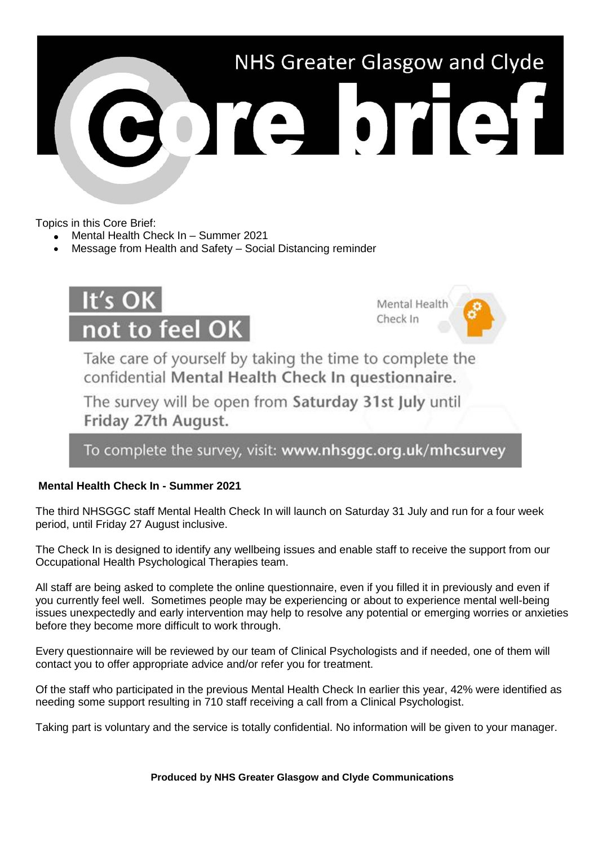

Topics in this Core Brief:

- Mental Health Check In Summer 2021
- Message from Health and Safety Social Distancing reminder



Mental Health Check In

Take care of yourself by taking the time to complete the confidential Mental Health Check In questionnaire.

The survey will be open from Saturday 31st July until Friday 27th August.

To complete the survey, visit: www.nhsggc.org.uk/mhcsurvey

## **Mental Health Check In - Summer 2021**

The third NHSGGC staff Mental Health Check In will launch on Saturday 31 July and run for a four week period, until Friday 27 August inclusive.

The Check In is designed to identify any wellbeing issues and enable staff to receive the support from our Occupational Health Psychological Therapies team.

All staff are being asked to complete the online questionnaire, even if you filled it in previously and even if you currently feel well. Sometimes people may be experiencing or about to experience mental well-being issues unexpectedly and early intervention may help to resolve any potential or emerging worries or anxieties before they become more difficult to work through.

Every questionnaire will be reviewed by our team of Clinical Psychologists and if needed, one of them will contact you to offer appropriate advice and/or refer you for treatment.

Of the staff who participated in the previous Mental Health Check In earlier this year, 42% were identified as needing some support resulting in 710 staff receiving a call from a Clinical Psychologist.

Taking part is voluntary and the service is totally confidential. No information will be given to your manager.

**Produced by NHS Greater Glasgow and Clyde Communications**